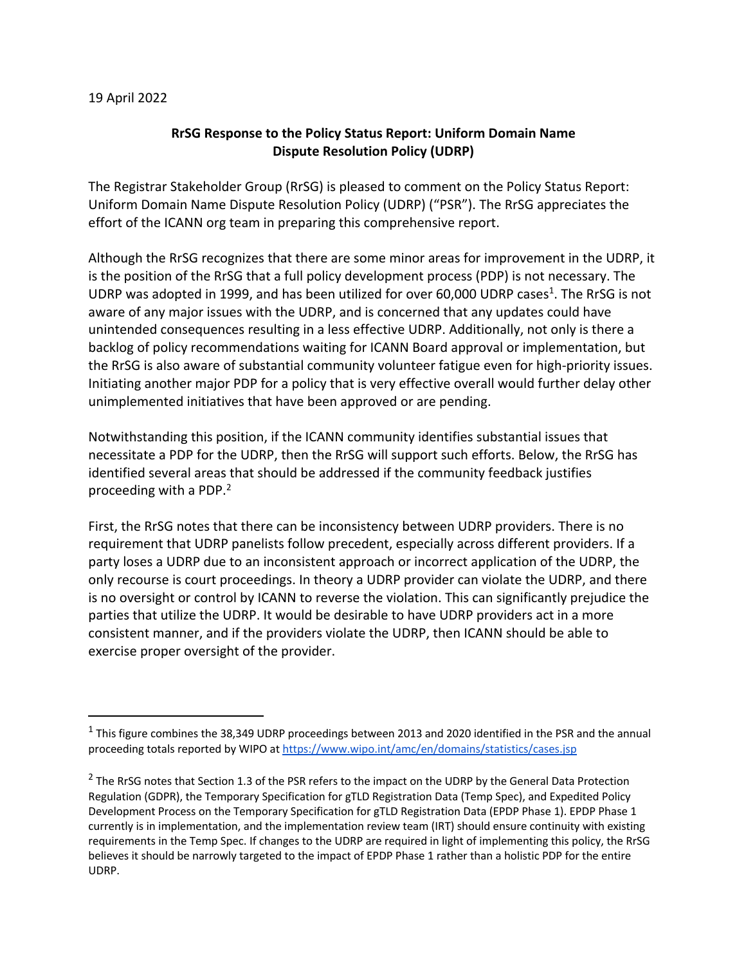## 19 April 2022

## **RrSG Response to the Policy Status Report: Uniform Domain Name Dispute Resolution Policy (UDRP)**

The Registrar Stakeholder Group (RrSG) is pleased to comment on the Policy Status Report: Uniform Domain Name Dispute Resolution Policy (UDRP) ("PSR"). The RrSG appreciates the effort of the ICANN org team in preparing this comprehensive report.

Although the RrSG recognizes that there are some minor areas for improvement in the UDRP, it is the position of the RrSG that a full policy development process (PDP) is not necessary. The UDRP was adopted in 1999, and has been utilized for over 60,000 UDRP cases<sup>1</sup>. The RrSG is not aware of any major issues with the UDRP, and is concerned that any updates could have unintended consequences resulting in a less effective UDRP. Additionally, not only is there a backlog of policy recommendations waiting for ICANN Board approval or implementation, but the RrSG is also aware of substantial community volunteer fatigue even for high-priority issues. Initiating another major PDP for a policy that is very effective overall would further delay other unimplemented initiatives that have been approved or are pending.

Notwithstanding this position, if the ICANN community identifies substantial issues that necessitate a PDP for the UDRP, then the RrSG will support such efforts. Below, the RrSG has identified several areas that should be addressed if the community feedback justifies proceeding with a PDP.<sup>2</sup>

First, the RrSG notes that there can be inconsistency between UDRP providers. There is no requirement that UDRP panelists follow precedent, especially across different providers. If a party loses a UDRP due to an inconsistent approach or incorrect application of the UDRP, the only recourse is court proceedings. In theory a UDRP provider can violate the UDRP, and there is no oversight or control by ICANN to reverse the violation. This can significantly prejudice the parties that utilize the UDRP. It would be desirable to have UDRP providers act in a more consistent manner, and if the providers violate the UDRP, then ICANN should be able to exercise proper oversight of the provider.

<sup>&</sup>lt;sup>1</sup> This figure combines the 38,349 UDRP proceedings between 2013 and 2020 identified in the PSR and the annual proceeding totals reported by WIPO at https://www.wipo.int/amc/en/domains/statistics/cases.jsp

 $<sup>2</sup>$  The RrSG notes that Section 1.3 of the PSR refers to the impact on the UDRP by the General Data Protection</sup> Regulation (GDPR), the Temporary Specification for gTLD Registration Data (Temp Spec), and Expedited Policy Development Process on the Temporary Specification for gTLD Registration Data (EPDP Phase 1). EPDP Phase 1 currently is in implementation, and the implementation review team (IRT) should ensure continuity with existing requirements in the Temp Spec. If changes to the UDRP are required in light of implementing this policy, the RrSG believes it should be narrowly targeted to the impact of EPDP Phase 1 rather than a holistic PDP for the entire UDRP.